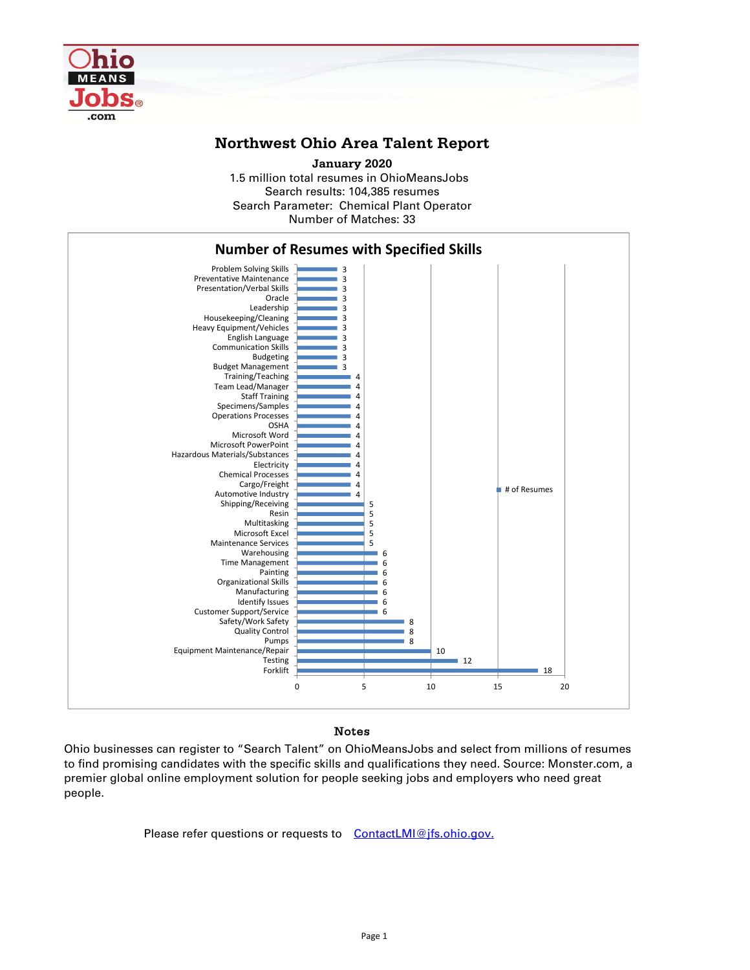

## **Northwest Ohio Area Talent Report**

1.5 million total resumes in OhioMeansJobs Search results: 104,385 resumes Number of Matches: 33 **January 2020** Search Parameter: Chemical Plant Operator



## Notes

Ohio businesses can register to "Search Talent" on OhioMeansJobs and select from millions of resumes to find promising candidates with the specific skills and qualifications they need. Source: Monster.com, a premier global online employment solution for people seeking jobs and employers who need great people.

Please refer questions or requests to ContactLMI@jfs.ohio.gov.